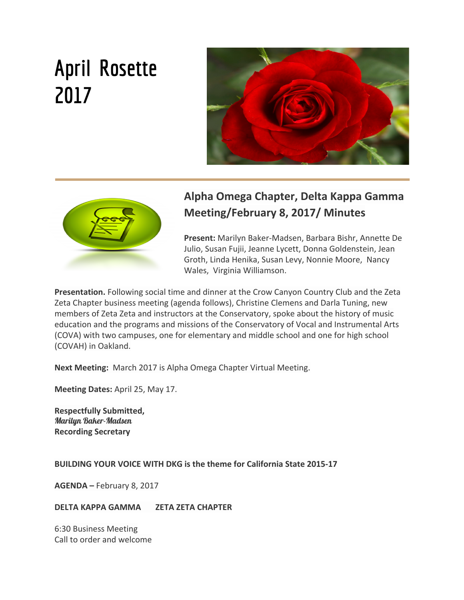# **April Rosette 2017**





# **Alpha Omega Chapter, Delta Kappa Gamma Meeting/February 8, 2017/ Minutes**

**Present:** Marilyn Baker-Madsen, Barbara Bishr, Annette De Julio, Susan Fujii, Jeanne Lycett, Donna Goldenstein, Jean Groth, Linda Henika, Susan Levy, Nonnie Moore, Nancy Wales, Virginia Williamson.

**Presentation.** Following social time and dinner at the Crow Canyon Country Club and the Zeta Zeta Chapter business meeting (agenda follows), Christine Clemens and Darla Tuning, new members of Zeta Zeta and instructors at the Conservatory, spoke about the history of music education and the programs and missions of the Conservatory of Vocal and Instrumental Arts (COVA) with two campuses, one for elementary and middle school and one for high school (COVAH) in Oakland.

**Next Meeting:** March 2017 is Alpha Omega Chapter Virtual Meeting.

**Meeting Dates:** April 25, May 17.

**Respectfully Submitted,** Marilyn Baker-Madsen **Recording Secretary**

#### **BUILDING YOUR VOICE WITH DKG is the theme for California State 2015-17**

**AGENDA –** February 8, 2017

#### **DELTA KAPPA GAMMA ZETA ZETA CHAPTER**

6:30 Business Meeting Call to order and welcome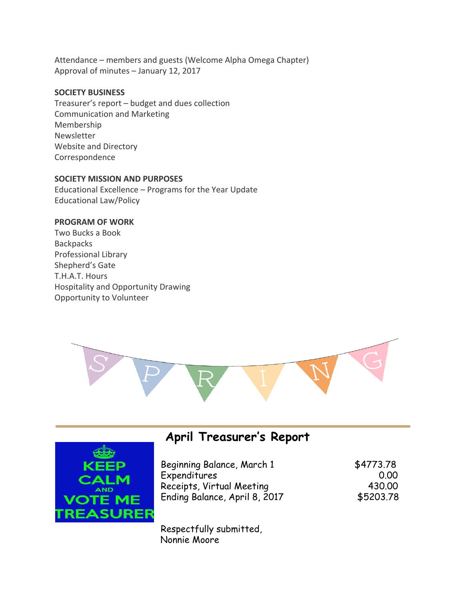Attendance – members and guests (Welcome Alpha Omega Chapter) Approval of minutes – January 12, 2017

#### **SOCIETY BUSINESS**

Treasurer's report – budget and dues collection Communication and Marketing Membership Newsletter Website and Directory Correspondence

#### **SOCIETY MISSION AND PURPOSES**

Educational Excellence – Programs for the Year Update Educational Law/Policy

#### **PROGRAM OF WORK**

Two Bucks a Book Backpacks Professional Library Shepherd's Gate T.H.A.T. Hours Hospitality and Opportunity Drawing Opportunity to Volunteer





# **April Treasurer's Report**

| \$4773.78 |
|-----------|
| 0.00      |
| 430.00    |
| \$5203.78 |
|           |

Respectfully submitted, Nonnie Moore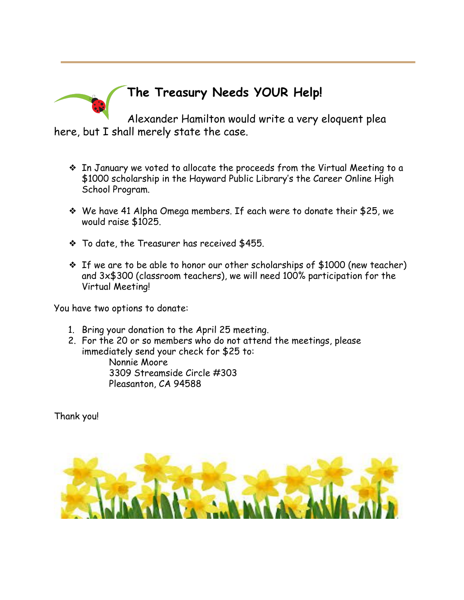

# **The Treasury Needs YOUR Help!**

Alexander Hamilton would write a very eloquent plea here, but I shall merely state the case.

- ❖ In January we voted to allocate the proceeds from the Virtual Meeting to a \$1000 scholarship in the Hayward Public Library's the Career Online High School Program.
- ❖ We have 41 Alpha Omega members. If each were to donate their \$25, we would raise \$1025.
- ❖ To date, the Treasurer has received \$455.
- ❖ If we are to be able to honor our other scholarships of \$1000 (new teacher) and 3x\$300 (classroom teachers), we will need 100% participation for the Virtual Meeting!

You have two options to donate:

- 1. Bring your donation to the April 25 meeting.
- 2. For the 20 or so members who do not attend the meetings, please immediately send your check for \$25 to:

Nonnie Moore 3309 Streamside Circle #303 Pleasanton, CA 94588

Thank you!

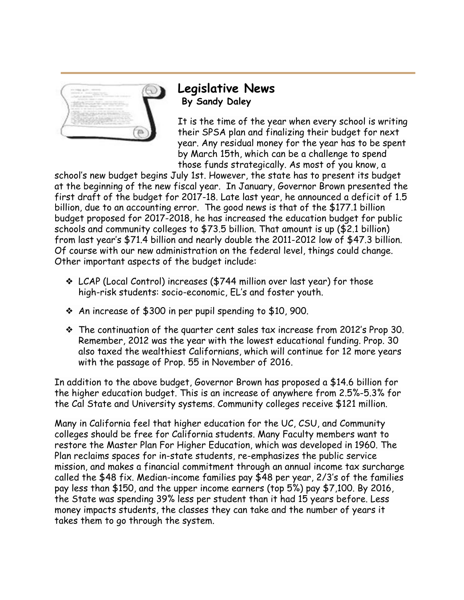

### **Legislative News By Sandy Daley**

It is the time of the year when every school is writing their SPSA plan and finalizing their budget for next year. Any residual money for the year has to be spent by March 15th, which can be a challenge to spend those funds strategically. As most of you know, a

school's new budget begins July 1st. However, the state has to present its budget at the beginning of the new fiscal year. In January, Governor Brown presented the first draft of the budget for 2017-18. Late last year, he announced a deficit of 1.5 billion, due to an accounting error. The good news is that of the \$177.1 billion budget proposed for 2017-2018, he has increased the education budget for public schools and community colleges to \$73.5 billion. That amount is up (\$2.1 billion) from last year's \$71.4 billion and nearly double the 2011-2012 low of \$47.3 billion. Of course with our new administration on the federal level, things could change. Other important aspects of the budget include:

- ❖ LCAP (Local Control) increases (\$744 million over last year) for those high-risk students: socio-economic, EL's and foster youth.
- ❖ An increase of \$300 in per pupil spending to \$10, 900.
- ❖ The continuation of the quarter cent sales tax increase from 2012's Prop 30. Remember, 2012 was the year with the lowest educational funding. Prop. 30 also taxed the wealthiest Californians, which will continue for 12 more years with the passage of Prop. 55 in November of 2016.

In addition to the above budget, Governor Brown has proposed a \$14.6 billion for the higher education budget. This is an increase of anywhere from 2.5%-5.3% for the Cal State and University systems. Community colleges receive \$121 million.

Many in California feel that higher education for the UC, CSU, and Community colleges should be free for California students. Many Faculty members want to restore the Master Plan For Higher Education, which was developed in 1960. The Plan reclaims spaces for in-state students, re-emphasizes the public service mission, and makes a financial commitment through an annual income tax surcharge called the \$48 fix. Median-income families pay \$48 per year, 2/3's of the families pay less than \$150, and the upper income earners (top 5%) pay \$7,100. By 2016, the State was spending 39% less per student than it had 15 years before. Less money impacts students, the classes they can take and the number of years it takes them to go through the system.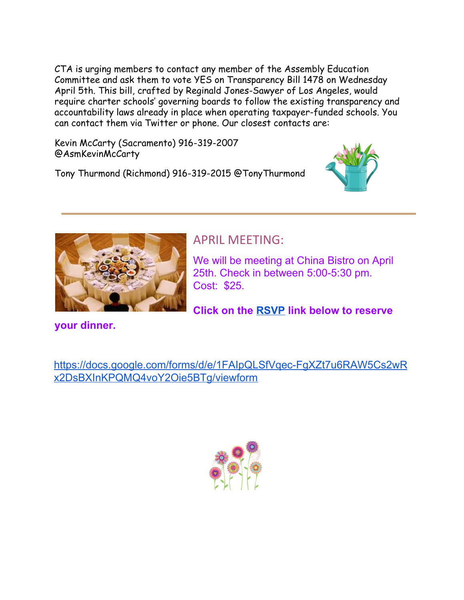CTA is urging members to contact any member of the Assembly Education Committee and ask them to vote YES on Transparency Bill 1478 on Wednesday April 5th. This bill, crafted by Reginald Jones-Sawyer of Los Angeles, would require charter schools' governing boards to follow the existing transparency and accountability laws already in place when operating taxpayer-funded schools. You can contact them via Twitter or phone. Our closest contacts are:

Kevin McCarty (Sacramento) 916-319-2007 @AsmKevinMcCarty

Tony Thurmond (Richmond) 916-319-2015 @TonyThurmond





## APRIL MEETING:

We will be meeting at China Bistro on April 25th. Check in between 5:00-5:30 pm. Cost: \$25.

**Click on the [RSVP](https://docs.google.com/forms/d/e/1FAIpQLSfVqec-FgXZt7u6RAW5Cs2wRx2DsBXInKPQMQ4voY2Oie5BTg/viewform) link below to reserve**

**your dinner.**

[https://docs.google.com/forms/d/e/1FAIpQLSfVqec-FgXZt7u6RAW5Cs2wR](https://docs.google.com/forms/d/e/1FAIpQLSfVqec-FgXZt7u6RAW5Cs2wRx2DsBXInKPQMQ4voY2Oie5BTg/viewform) [x2DsBXInKPQMQ4voY2Oie5BTg/viewform](https://docs.google.com/forms/d/e/1FAIpQLSfVqec-FgXZt7u6RAW5Cs2wRx2DsBXInKPQMQ4voY2Oie5BTg/viewform)

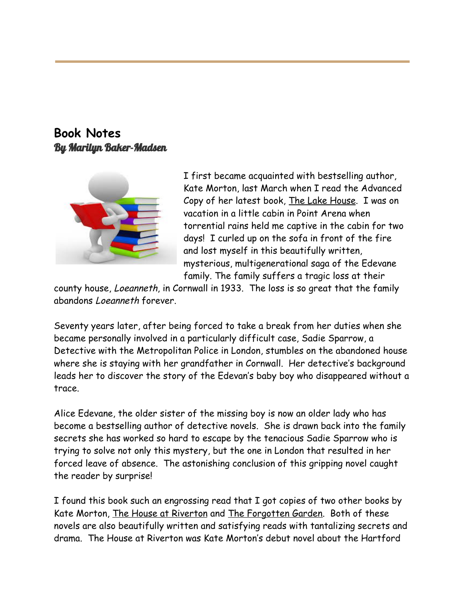**Book Notes** By Marilyn Baker-Madsen



I first became acquainted with bestselling author, Kate Morton, last March when I read the Advanced Copy of her latest book, The Lake House. I was on vacation in a little cabin in Point Arena when torrential rains held me captive in the cabin for two days! I curled up on the sofa in front of the fire and lost myself in this beautifully written, mysterious, multigenerational saga of the Edevane family. The family suffers a tragic loss at their

county house, Loeanneth, in Cornwall in 1933. The loss is so great that the family abandons Loeanneth forever.

Seventy years later, after being forced to take a break from her duties when she became personally involved in a particularly difficult case, Sadie Sparrow, a Detective with the Metropolitan Police in London, stumbles on the abandoned house where she is staying with her grandfather in Cornwall. Her detective's background leads her to discover the story of the Edevan's baby boy who disappeared without a trace.

Alice Edevane, the older sister of the missing boy is now an older lady who has become a bestselling author of detective novels. She is drawn back into the family secrets she has worked so hard to escape by the tenacious Sadie Sparrow who is trying to solve not only this mystery, but the one in London that resulted in her forced leave of absence. The astonishing conclusion of this gripping novel caught the reader by surprise!

I found this book such an engrossing read that I got copies of two other books by Kate Morton, The House at Riverton and The Forgotten Garden. Both of these novels are also beautifully written and satisfying reads with tantalizing secrets and drama. The House at Riverton was Kate Morton's debut novel about the Hartford